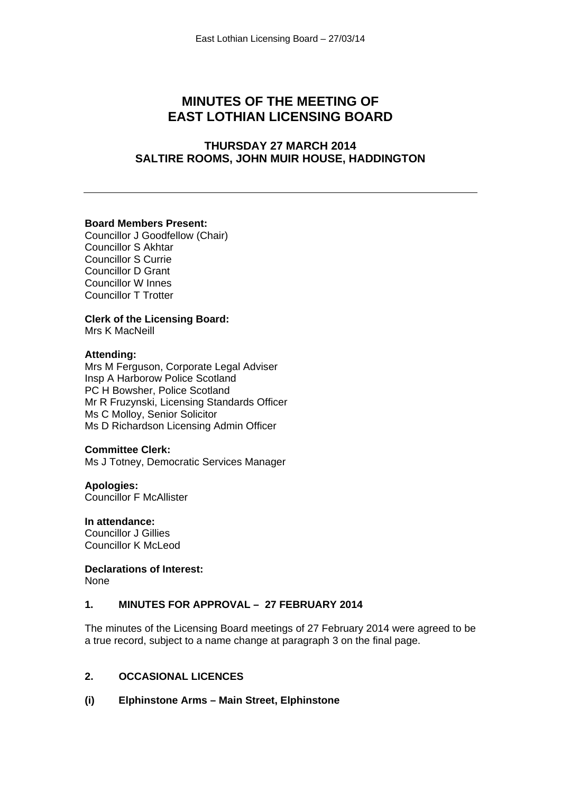# **MINUTES OF THE MEETING OF EAST LOTHIAN LICENSING BOARD**

## **THURSDAY 27 MARCH 2014 SALTIRE ROOMS, JOHN MUIR HOUSE, HADDINGTON**

### **Board Members Present:**

Councillor J Goodfellow (Chair) Councillor S Akhtar Councillor S Currie Councillor D Grant Councillor W Innes Councillor T Trotter

## **Clerk of the Licensing Board:**

Mrs K MacNeill

#### **Attending:**

Mrs M Ferguson, Corporate Legal Adviser Insp A Harborow Police Scotland PC H Bowsher, Police Scotland Mr R Fruzynski, Licensing Standards Officer Ms C Molloy, Senior Solicitor Ms D Richardson Licensing Admin Officer

#### **Committee Clerk:**

Ms J Totney, Democratic Services Manager

**Apologies:**  Councillor F McAllister

# **In attendance:**

Councillor J Gillies Councillor K McLeod

# **Declarations of Interest:**

None

## **1. MINUTES FOR APPROVAL – 27 FEBRUARY 2014**

The minutes of the Licensing Board meetings of 27 February 2014 were agreed to be a true record, subject to a name change at paragraph 3 on the final page.

## **2. OCCASIONAL LICENCES**

#### **(i) Elphinstone Arms – Main Street, Elphinstone**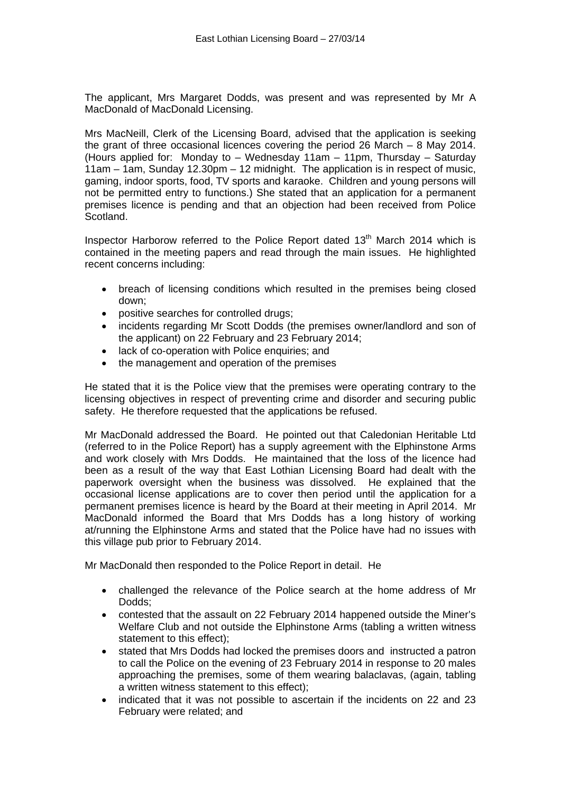The applicant, Mrs Margaret Dodds, was present and was represented by Mr A MacDonald of MacDonald Licensing.

Mrs MacNeill, Clerk of the Licensing Board, advised that the application is seeking the grant of three occasional licences covering the period 26 March – 8 May 2014. (Hours applied for: Monday to – Wednesday 11am – 11pm, Thursday – Saturday 11am – 1am, Sunday 12.30pm – 12 midnight. The application is in respect of music, gaming, indoor sports, food, TV sports and karaoke. Children and young persons will not be permitted entry to functions.) She stated that an application for a permanent premises licence is pending and that an objection had been received from Police Scotland.

Inspector Harborow referred to the Police Report dated  $13<sup>th</sup>$  March 2014 which is contained in the meeting papers and read through the main issues. He highlighted recent concerns including:

- breach of licensing conditions which resulted in the premises being closed down;
- positive searches for controlled drugs;
- incidents regarding Mr Scott Dodds (the premises owner/landlord and son of the applicant) on 22 February and 23 February 2014;
- lack of co-operation with Police enquiries; and
- the management and operation of the premises

He stated that it is the Police view that the premises were operating contrary to the licensing objectives in respect of preventing crime and disorder and securing public safety. He therefore requested that the applications be refused.

Mr MacDonald addressed the Board. He pointed out that Caledonian Heritable Ltd (referred to in the Police Report) has a supply agreement with the Elphinstone Arms and work closely with Mrs Dodds. He maintained that the loss of the licence had been as a result of the way that East Lothian Licensing Board had dealt with the paperwork oversight when the business was dissolved. He explained that the occasional license applications are to cover then period until the application for a permanent premises licence is heard by the Board at their meeting in April 2014. Mr MacDonald informed the Board that Mrs Dodds has a long history of working at/running the Elphinstone Arms and stated that the Police have had no issues with this village pub prior to February 2014.

Mr MacDonald then responded to the Police Report in detail. He

- challenged the relevance of the Police search at the home address of Mr Dodds;
- contested that the assault on 22 February 2014 happened outside the Miner's Welfare Club and not outside the Elphinstone Arms (tabling a written witness statement to this effect);
- stated that Mrs Dodds had locked the premises doors and instructed a patron to call the Police on the evening of 23 February 2014 in response to 20 males approaching the premises, some of them wearing balaclavas, (again, tabling a written witness statement to this effect);
- indicated that it was not possible to ascertain if the incidents on 22 and 23 February were related; and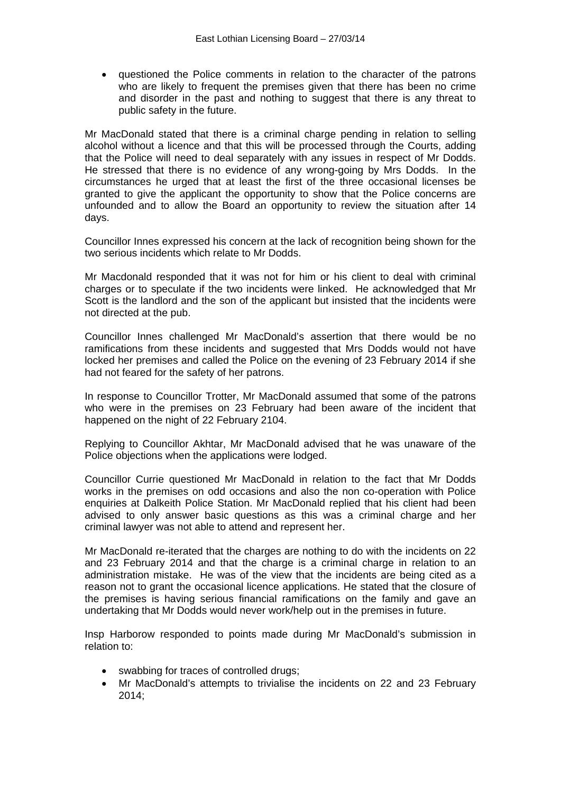questioned the Police comments in relation to the character of the patrons who are likely to frequent the premises given that there has been no crime and disorder in the past and nothing to suggest that there is any threat to public safety in the future.

Mr MacDonald stated that there is a criminal charge pending in relation to selling alcohol without a licence and that this will be processed through the Courts, adding that the Police will need to deal separately with any issues in respect of Mr Dodds. He stressed that there is no evidence of any wrong-going by Mrs Dodds. In the circumstances he urged that at least the first of the three occasional licenses be granted to give the applicant the opportunity to show that the Police concerns are unfounded and to allow the Board an opportunity to review the situation after 14 days.

Councillor Innes expressed his concern at the lack of recognition being shown for the two serious incidents which relate to Mr Dodds.

Mr Macdonald responded that it was not for him or his client to deal with criminal charges or to speculate if the two incidents were linked. He acknowledged that Mr Scott is the landlord and the son of the applicant but insisted that the incidents were not directed at the pub.

Councillor Innes challenged Mr MacDonald's assertion that there would be no ramifications from these incidents and suggested that Mrs Dodds would not have locked her premises and called the Police on the evening of 23 February 2014 if she had not feared for the safety of her patrons.

In response to Councillor Trotter, Mr MacDonald assumed that some of the patrons who were in the premises on 23 February had been aware of the incident that happened on the night of 22 February 2104.

Replying to Councillor Akhtar, Mr MacDonald advised that he was unaware of the Police objections when the applications were lodged.

Councillor Currie questioned Mr MacDonald in relation to the fact that Mr Dodds works in the premises on odd occasions and also the non co-operation with Police enquiries at Dalkeith Police Station. Mr MacDonald replied that his client had been advised to only answer basic questions as this was a criminal charge and her criminal lawyer was not able to attend and represent her.

Mr MacDonald re-iterated that the charges are nothing to do with the incidents on 22 and 23 February 2014 and that the charge is a criminal charge in relation to an administration mistake. He was of the view that the incidents are being cited as a reason not to grant the occasional licence applications. He stated that the closure of the premises is having serious financial ramifications on the family and gave an undertaking that Mr Dodds would never work/help out in the premises in future.

Insp Harborow responded to points made during Mr MacDonald's submission in relation to:

- swabbing for traces of controlled drugs;
- Mr MacDonald's attempts to trivialise the incidents on 22 and 23 February 2014;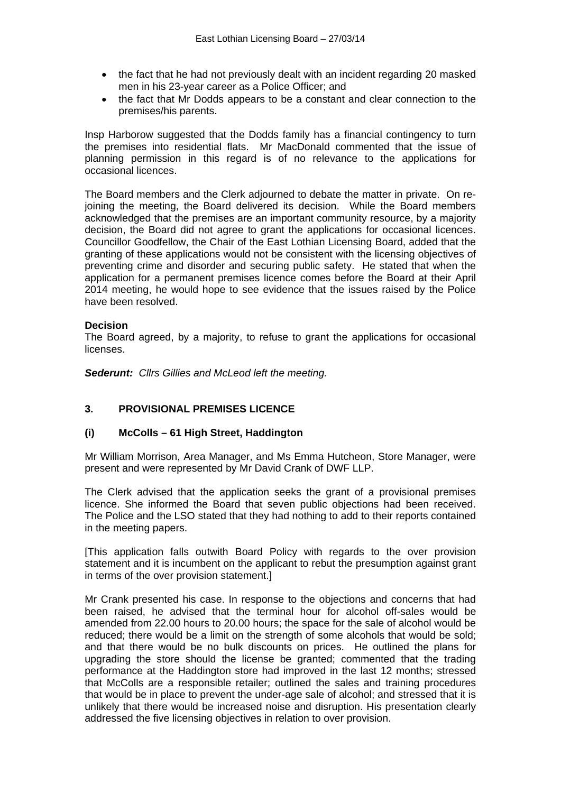- the fact that he had not previously dealt with an incident regarding 20 masked men in his 23-year career as a Police Officer; and
- the fact that Mr Dodds appears to be a constant and clear connection to the premises/his parents.

Insp Harborow suggested that the Dodds family has a financial contingency to turn the premises into residential flats. Mr MacDonald commented that the issue of planning permission in this regard is of no relevance to the applications for occasional licences.

The Board members and the Clerk adjourned to debate the matter in private. On rejoining the meeting, the Board delivered its decision. While the Board members acknowledged that the premises are an important community resource, by a majority decision, the Board did not agree to grant the applications for occasional licences. Councillor Goodfellow, the Chair of the East Lothian Licensing Board, added that the granting of these applications would not be consistent with the licensing objectives of preventing crime and disorder and securing public safety. He stated that when the application for a permanent premises licence comes before the Board at their April 2014 meeting, he would hope to see evidence that the issues raised by the Police have been resolved.

### **Decision**

The Board agreed, by a majority, to refuse to grant the applications for occasional licenses.

*Sederunt: Cllrs Gillies and McLeod left the meeting.* 

### **3. PROVISIONAL PREMISES LICENCE**

### **(i) McColls – 61 High Street, Haddington**

Mr William Morrison, Area Manager, and Ms Emma Hutcheon, Store Manager, were present and were represented by Mr David Crank of DWF LLP.

The Clerk advised that the application seeks the grant of a provisional premises licence. She informed the Board that seven public objections had been received. The Police and the LSO stated that they had nothing to add to their reports contained in the meeting papers.

[This application falls outwith Board Policy with regards to the over provision statement and it is incumbent on the applicant to rebut the presumption against grant in terms of the over provision statement.]

Mr Crank presented his case. In response to the objections and concerns that had been raised, he advised that the terminal hour for alcohol off-sales would be amended from 22.00 hours to 20.00 hours; the space for the sale of alcohol would be reduced; there would be a limit on the strength of some alcohols that would be sold; and that there would be no bulk discounts on prices. He outlined the plans for upgrading the store should the license be granted; commented that the trading performance at the Haddington store had improved in the last 12 months; stressed that McColls are a responsible retailer; outlined the sales and training procedures that would be in place to prevent the under-age sale of alcohol; and stressed that it is unlikely that there would be increased noise and disruption. His presentation clearly addressed the five licensing objectives in relation to over provision.